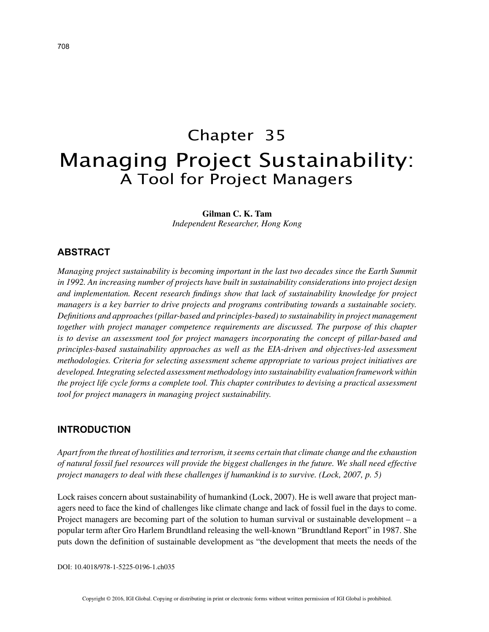# Chapter 35 Managing Project Sustainability: A Tool for Project Managers

**Gilman C. K. Tam**

*Independent Researcher, Hong Kong*

## **ABSTRACT**

*Managing project sustainability is becoming important in the last two decades since the Earth Summit in 1992. An increasing number of projects have built in sustainability considerations into project design and implementation. Recent research findings show that lack of sustainability knowledge for project managers is a key barrier to drive projects and programs contributing towards a sustainable society. Definitions and approaches (pillar-based and principles-based) to sustainability in project management together with project manager competence requirements are discussed. The purpose of this chapter is to devise an assessment tool for project managers incorporating the concept of pillar-based and principles-based sustainability approaches as well as the EIA-driven and objectives-led assessment methodologies. Criteria for selecting assessment scheme appropriate to various project initiatives are developed. Integrating selected assessment methodology into sustainability evaluation framework within the project life cycle forms a complete tool. This chapter contributes to devising a practical assessment tool for project managers in managing project sustainability.*

#### **INTRODUCTION**

*Apart from the threat of hostilities and terrorism, it seems certain that climate change and the exhaustion of natural fossil fuel resources will provide the biggest challenges in the future. We shall need effective project managers to deal with these challenges if humankind is to survive. (Lock, 2007, p. 5)*

Lock raises concern about sustainability of humankind (Lock, 2007). He is well aware that project managers need to face the kind of challenges like climate change and lack of fossil fuel in the days to come. Project managers are becoming part of the solution to human survival or sustainable development – a popular term after Gro Harlem Brundtland releasing the well-known "Brundtland Report" in 1987. She puts down the definition of sustainable development as "the development that meets the needs of the

DOI: 10.4018/978-1-5225-0196-1.ch035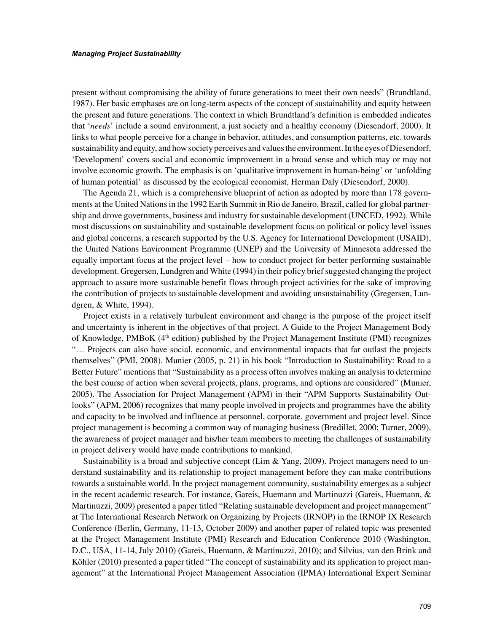present without compromising the ability of future generations to meet their own needs" (Brundtland, 1987). Her basic emphases are on long-term aspects of the concept of sustainability and equity between the present and future generations. The context in which Brundtland's definition is embedded indicates that '*needs*' include a sound environment, a just society and a healthy economy (Diesendorf, 2000). It links to what people perceive for a change in behavior, attitudes, and consumption patterns, etc. towards sustainability and equity, and how society perceives and values the environment. In the eyes of Diesendorf, 'Development' covers social and economic improvement in a broad sense and which may or may not involve economic growth. The emphasis is on 'qualitative improvement in human-being' or 'unfolding of human potential' as discussed by the ecological economist, Herman Daly (Diesendorf, 2000).

The Agenda 21, which is a comprehensive blueprint of action as adopted by more than 178 governments at the United Nations in the 1992 Earth Summit in Rio de Janeiro, Brazil, called for global partnership and drove governments, business and industry for sustainable development (UNCED, 1992). While most discussions on sustainability and sustainable development focus on political or policy level issues and global concerns, a research supported by the U.S. Agency for International Development (USAID), the United Nations Environment Programme (UNEP) and the University of Minnesota addressed the equally important focus at the project level – how to conduct project for better performing sustainable development. Gregersen, Lundgren and White (1994) in their policy brief suggested changing the project approach to assure more sustainable benefit flows through project activities for the sake of improving the contribution of projects to sustainable development and avoiding unsustainability (Gregersen, Lundgren, & White, 1994).

Project exists in a relatively turbulent environment and change is the purpose of the project itself and uncertainty is inherent in the objectives of that project. A Guide to the Project Management Body of Knowledge, PMBoK (4th edition) published by the Project Management Institute (PMI) recognizes "… Projects can also have social, economic, and environmental impacts that far outlast the projects themselves" (PMI, 2008). Munier (2005, p. 21) in his book "Introduction to Sustainability: Road to a Better Future" mentions that "Sustainability as a process often involves making an analysis to determine the best course of action when several projects, plans, programs, and options are considered" (Munier, 2005). The Association for Project Management (APM) in their "APM Supports Sustainability Outlooks" (APM, 2006) recognizes that many people involved in projects and programmes have the ability and capacity to be involved and influence at personnel, corporate, government and project level. Since project management is becoming a common way of managing business (Bredillet, 2000; Turner, 2009), the awareness of project manager and his/her team members to meeting the challenges of sustainability in project delivery would have made contributions to mankind.

Sustainability is a broad and subjective concept (Lim  $\&$  Yang, 2009). Project managers need to understand sustainability and its relationship to project management before they can make contributions towards a sustainable world. In the project management community, sustainability emerges as a subject in the recent academic research. For instance, Gareis, Huemann and Martinuzzi (Gareis, Huemann, & Martinuzzi, 2009) presented a paper titled "Relating sustainable development and project management" at The International Research Network on Organizing by Projects (IRNOP) in the IRNOP IX Research Conference (Berlin, Germany, 11-13, October 2009) and another paper of related topic was presented at the Project Management Institute (PMI) Research and Education Conference 2010 (Washington, D.C., USA, 11-14, July 2010) (Gareis, Huemann, & Martinuzzi, 2010); and Silvius, van den Brink and Köhler (2010) presented a paper titled "The concept of sustainability and its application to project management" at the International Project Management Association (IPMA) International Expert Seminar